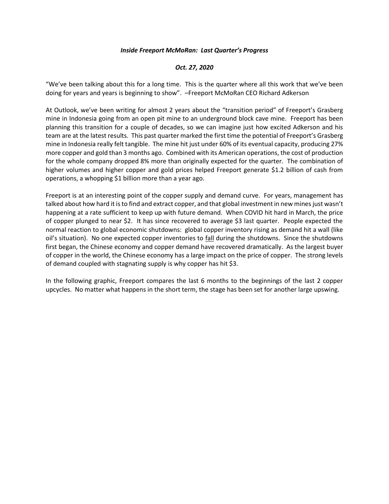## *Inside Freeport McMoRan: Last Quarter's Progress*

## *Oct. 27, 2020*

"We've been talking about this for a long time. This is the quarter where all this work that we've been doing for years and years is beginning to show". –Freeport McMoRan CEO Richard Adkerson

At Outlook, we've been writing for almost 2 years about the "transition period" of Freeport's Grasberg mine in Indonesia going from an open pit mine to an underground block cave mine. Freeport has been planning this transition for a couple of decades, so we can imagine just how excited Adkerson and his team are at the latest results. This past quarter marked the first time the potential of Freeport's Grasberg mine in Indonesia really felt tangible. The mine hit just under 60% of its eventual capacity, producing 27% more copper and gold than 3 months ago. Combined with its American operations, the cost of production for the whole company dropped 8% more than originally expected for the quarter. The combination of higher volumes and higher copper and gold prices helped Freeport generate \$1.2 billion of cash from operations, a whopping \$1 billion more than a year ago.

Freeport is at an interesting point of the copper supply and demand curve. For years, management has talked about how hard it is to find and extract copper, and that global investment in new mines just wasn't happening at a rate sufficient to keep up with future demand. When COVID hit hard in March, the price of copper plunged to near \$2. It has since recovered to average \$3 last quarter. People expected the normal reaction to global economic shutdowns: global copper inventory rising as demand hit a wall (like oil's situation). No one expected copper inventories to fall during the shutdowns. Since the shutdowns first began, the Chinese economy and copper demand have recovered dramatically. As the largest buyer of copper in the world, the Chinese economy has a large impact on the price of copper. The strong levels of demand coupled with stagnating supply is why copper has hit \$3.

In the following graphic, Freeport compares the last 6 months to the beginnings of the last 2 copper upcycles. No matter what happens in the short term, the stage has been set for another large upswing.